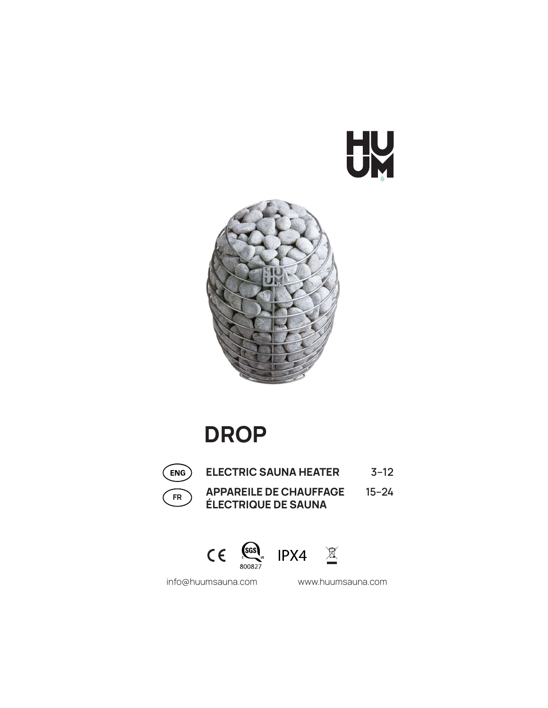# UN



# DROP



ELECTRIC SAUNA HEATER 3–12

FR APPAREILE DE CHAUFFAGE 15-24

ÉLECTRIQUE DE SAUNA

 $\mathsf{CE}$   $\underset{\text{800827}}{\mathsf{SGS}}$  IPX4  $\mathbb{X}$ 



info@huumsauna.com www.huumsauna.com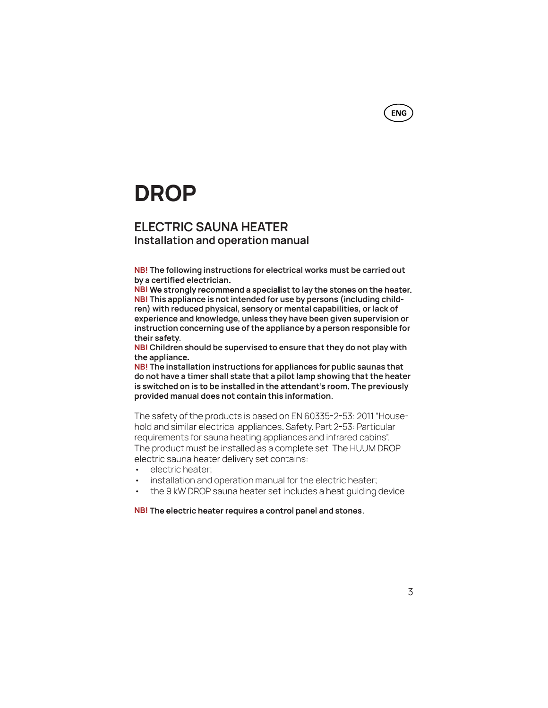# DROP

## ELECTRIC SAUNA HEATER Installation and operation manual

NB! The following instructions for electrical works must be carried out by a certified electrician.

NB! We strongly recommend a specialist to lay the stones on the heater. NB! This appliance is not intended for use by persons (including children) with reduced physical, sensory or mental capabilities, or lack of experience and knowledge, unless they have been given supervision or instruction concerning use of the appliance by a person responsible for their safety.

NB! Children should be supervised to ensure that they do not play with the appliance.

NB! The installation instructions for appliances for public saunas that do not have a timer shall state that a pilot lamp showing that the heater is switched on is to be installed in the attendant's room. The previously provided manual does not contain this information.

**-** Construction of the construction of the hold and similar electrical appliances. Safety. Part 2-53: Particular requirements for sauna heating appliances and infrared cabins". The product must be installed as a complete set. The HUUM DROP electric sauna heater delivery set contains:

- electric heater:
- 
- installation and operation manual for the electric heater;<br>the 9 kW DROP sauna heater set includes a heat guiding device

NB! The electric heater requires a control panel and stones.

**ENG**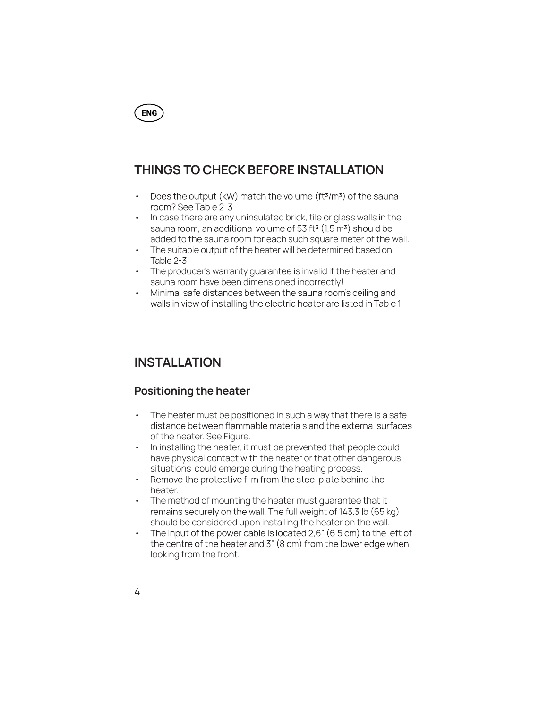

# THINGS TO CHECK BEFORE INSTALLATION

- Does the output (kW) match the volume (ft $3/m^3$ ) of the sauna<br>room? See Table 2-3.<br>• In case there are any uninsulated brick, tile or glass walls in the
- sauna room, an additional volume of 53 ft<sup>3</sup> (1,5 m<sup>3</sup>) should be added to the sauna room for each such square meter of the wall.
- The suitable output of the heater will be determined based on Table 2-3.
- The producer's warranty guarantee is invalid if the heater and sauna room have been dimensioned incorrectly!
- Minimal safe distances between the sauna room's ceiling and walls in view of installing the electric heater are listed in Table 1.

# INSTALLATION

### Positioning the heater

- The heater must be positioned in such a way that there is a safe distance between flammable materials and the external surfaces of the heater. See Figure.
- In installing the heater, it must be prevented that people could have physical contact with the heater or that other dangerous
- situations could emerge during the heating process.<br>Remove the protective film from the steel plate behind the<br>heater.
- The method of mounting the heater must guarantee that it remains securely on the wall. The full weight of 143.3 lb (65 kg)
- should be considered upon installing the heater on the wall.<br>• The input of the power cable is located 2,6" (6.5 cm) to the left of<br>the centre of the heater and 3" (8 cm) from the lower edge when<br>looking from the front.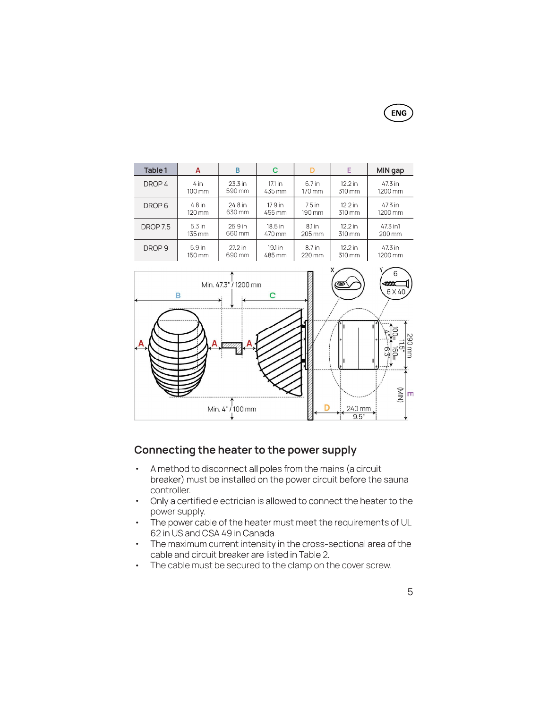**ENG** 

| Table 1           | A                   | B         | C         | D        | Е         | MIN gap             |
|-------------------|---------------------|-----------|-----------|----------|-----------|---------------------|
| DROP 4            | 4 in                | 23.3 in   | 17.1 in   | 6.7 in   | $12.2$ in | 47.3 in             |
|                   | 100 mm              | 590 mm    | 435 mm    | 170 mm   | 310 mm    | 1200 mm             |
| DROP <sub>6</sub> | 4.8 in              | 24.8 in   | 17.9 in   | 7.5 in   | $12.2$ in | 47.3 in             |
|                   | 120 mm              | 630 mm    | 455 mm    | 190 mm   | 310 mm    | 1200 mm             |
| <b>DROP 7.5</b>   | 5.3 in              | 25.9 in   | 18.5 in   | 8.1 in   | $12.2$ in | 47.3 in1            |
|                   | $135 \,\mathrm{mm}$ | 660 mm    | 470 mm    | 205 mm   | 310 mm    | $200 \,\mathrm{mm}$ |
| DROP <sub>9</sub> | 5.9 <sub>in</sub>   | $27.2$ in | $19.1$ in | 8.7 in   | $12.2$ in | 47.3 in             |
|                   | 150 mm              | 690 mm    | 485 mm    | $220$ mm | 310 mm    | 1200 mm             |



## Connecting the heater to the power supply

- A method to disconnect all poles from the mains (a circuit<br>breaker) must be installed on the power circuit before the sauna<br>controller.
- Only a certified electrician is allowed to connect the heater to the<br>power supply.<br>• The power cable of the heater must meet the requirements of UL<br>62 in US and CSA 49 in Canada.<br>• The maximum current intensity in the cr
- 
- 
-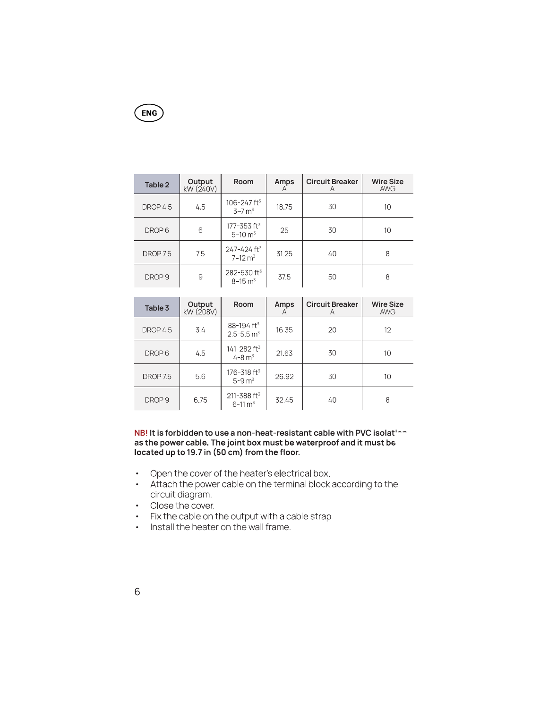# **ENG**

| Table 2           | <b>Output</b><br>$kW(240V)$ | Room                                                   | Amps<br>A | <b>Circuit Breaker</b><br>A | <b>Wire Size</b><br><b>AWG</b> |
|-------------------|-----------------------------|--------------------------------------------------------|-----------|-----------------------------|--------------------------------|
| DROP 4.5          | 4.5                         | 106-247 ft <sup>3</sup><br>$3 - 7 m3$                  | 18.75     | 30                          | 10                             |
| DROP <sub>6</sub> | 6                           | 177-353 ft3<br>$5 - 10$ m <sup>3</sup>                 | 25        | 30                          | 10                             |
| DROP 7.5          | 7.5                         | $247 - 424$ ft <sup>3</sup><br>$7 - 12$ m <sup>3</sup> | 31.25     | 40                          | 8                              |
| DROP <sub>9</sub> | 9                           | 282-530 ft <sup>3</sup><br>$8 - 15$ m <sup>3</sup>     | 37.5      | 50                          | 8                              |

| Table 3             | Output<br>kW (208V) | Room                                                 | Amps<br>A | <b>Circuit Breaker</b><br>А | <b>Wire Size</b><br><b>AWG</b> |
|---------------------|---------------------|------------------------------------------------------|-----------|-----------------------------|--------------------------------|
| DROP <sub>4.5</sub> | 3.4                 | 88-194 ft <sup>3</sup><br>$2.5 - 5.5$ m <sup>3</sup> | 16.35     | 20                          | 12                             |
| DROP <sub>6</sub>   | 45                  | 141-282 ft3<br>$4 - 8 m3$                            | 21.63     | 30                          | 10                             |
| DROP 7.5            | 5.6                 | 176-318 ft3<br>$5 - 9$ m <sup>3</sup>                | 26.92     | 30                          | 10                             |
| DROP <sub>9</sub>   | 6.75                | $211 - 388$ ft <sup>3</sup><br>$6 - 11 \text{ m}^3$  | 32.45     | 40                          | 8                              |

NB! It is forbidden to use a non-heat-resistant cable with PVC isolation<br>as the power cable. The joint box must be waterproof and it must be located up to 19.7 in (50 cm) from the floor

- 
- Open the cover of the heater's electrical box.<br>• Attach the power cable on the terminal block according to the<br>circuit diagram.<br>• Close the cover.<br>• Fix the cable on the output with a cable strap.<br>• Install the heater on
- 
- 
-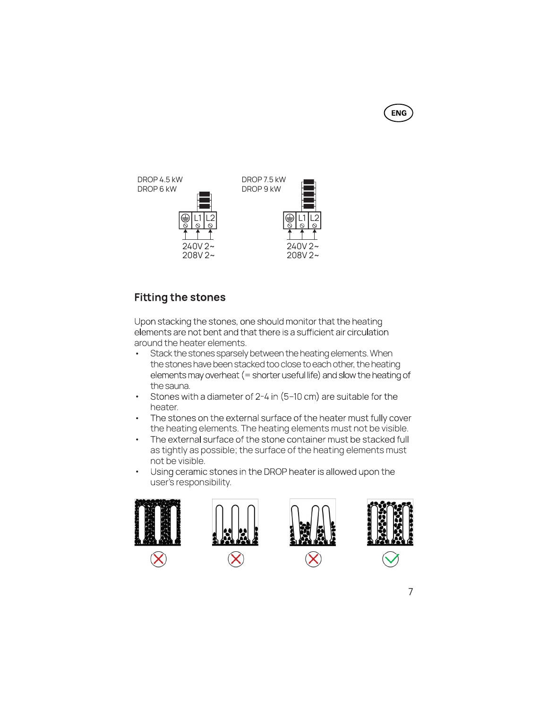**ENG** 



# **Fitting the stones**

Upon stacking the stones, one should monitor that the heating elements are not bent and that there is a sufficient air circulation around the heater elements.

- Stack the stones sparsely between the heating elements. When the stones have been stacked too close to each other, the heating elements may overheat (= shorter useful life) and slow the heating of
- 
- the sauna.<br>• Stones with a diameter of 2-4 in (5-10 cm) are suitable for the<br>heater.<br>• The stones on the external surface of the heater must not be visible.<br>• The external surface of the stone container must be stacked ful
- 
- not be visible.<br>• Using ceramic stones in the DROP heater is allowed upon the<br>user's responsibility.

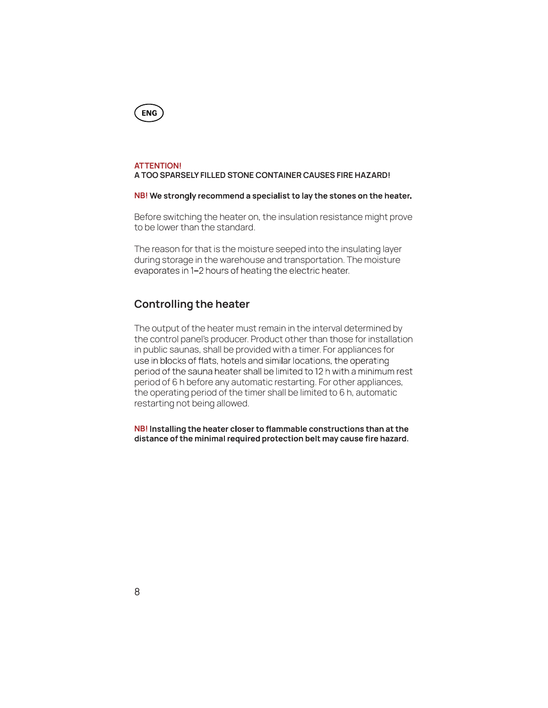

#### ATTENTION!

A TOO SPARSELY FILLED STONE CONTAINER CAUSES FIRE HAZARD!

#### NB! We strongly recommend a specialist to lay the stones on the heater.

Before switching the heater on, the insulation resistance might prove to be lower than the standard.

The reason for that is the moisture seeped into the insulating layer during storage in the warehouse and transportation. The moisture evaporates in 1-2 hours of heating the electric heater.

#### Controlling the heater

The output of the heater must remain in the interval determined by the control panel's producer. Product other than those for installation in public saunas, shall be provided with a timer. For appliances for use in blocks of flats, hotels and similar locations, the operating period of the sauna heater shall be limited to 12 h with a minimum rest period of 6 h before any automatic restarting. For other appliances, the operating period of the timer shall be limited to 6 h, automatic restarting not being allowed.

NB! Installing the heater closer to flammable constructions than at the distance of the minimal required protection belt may cause fire hazard.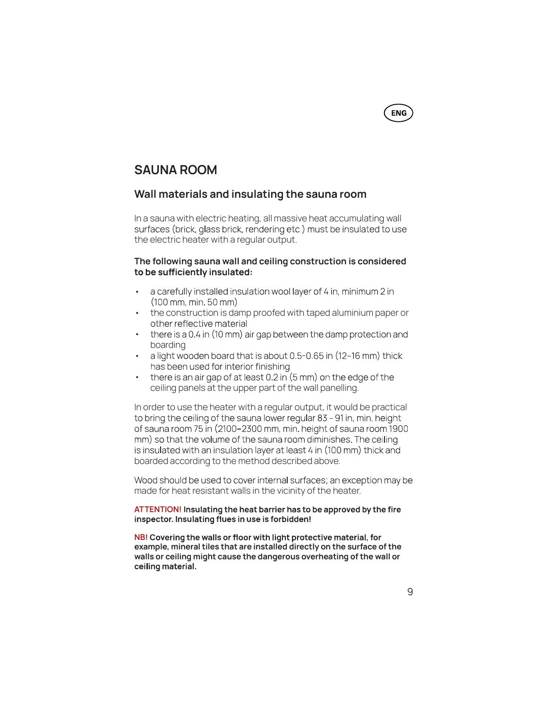# SAUNA ROOM

#### Wall materials and insulating the sauna room

In a sauna with electric heating, all massive heat accumulating wall surfaces (brick, glass brick, rendering etc.) must be insulated to use the electric heater with a regular output.

#### The following sauna wall and ceiling construction is considered to be sufficiently insulated:

- 
- 
- a carefully installed insulation wool layer of 4 in, minimum 2 in<br>
(100 mm, min. 50 mm)<br>
 the construction is damp proofed with taped aluminium paper or<br>
other reflective material<br>
 there is a 0.4 in (10 mm) air gap be
- 
- 

In order to use the heater with a regular output, it would be practical to bring the ceiling of the sauna lower regular 83 - 91 in, min. height of sauna room 75 in (2100-2300 mm, min. height of sauna room 1900 mm) so that the volume of the sauna room diminishes. The ceiling is insulated with an insulation layer at least 4 in (100 mm) thick and boarded according to the method described above.

Wood should be used to cover internal surfaces; an exception may be made for heat resistant walls in the vicinity of the heater.

#### ATTENTION! Insulating the heat barrier has to be approved by the fire inspector. Insulating flues in use is forbidden!

NB! Covering the walls or floor with light protective material, for example, mineral tiles that are installed directly on the surface of the walls or ceiling might cause the dangerous overheating of the wall or ceiling material.

**ENG**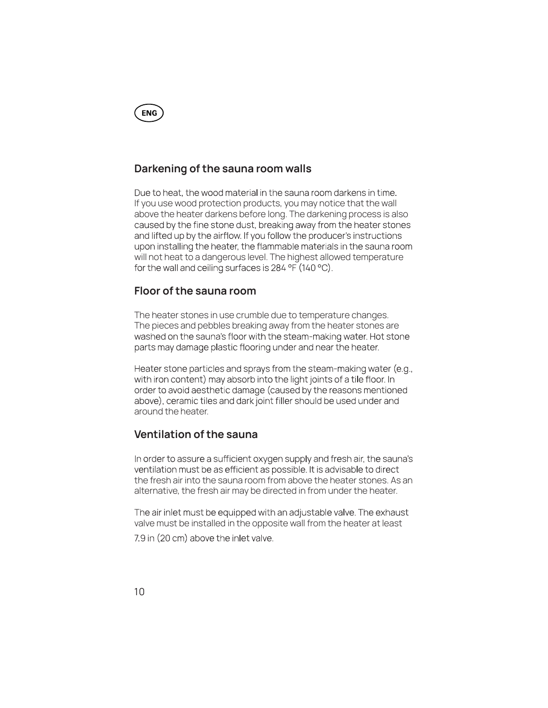

#### Darkening of the sauna room walls

Due to heat, the wood material in the sauna room darkens in time. If you use wood protection products, you may notice that the wall above the heater darkens before long. The darkening process is also caused by the fine stone dust, breaking away from the heater stones and lifted up by the airflow. If you follow the producer's instructions upon installing the heater, the flammable materials in the sauna room will not heat to a dangerous level. The highest allowed temperature for the wall and ceiling surfaces is  $284 \text{ °F}$  (140 °C).

#### Floor of the sauna room

The heater stones in use crumble due to temperature changes. The pieces and pebbles breaking away from the heater stones are washed on the sauna's floor with the steam-making water. Hot stone parts may damage plastic flooring under and near the heater.

Heater stone particles and sprays from the steam-making water (e.g., with iron content) may absorb into the light joints of a tile floor. In order to avoid aesthetic damage (caused by the reasons mentioned above), ceramic tiles and dark joint filler should be used under and around the heater.

#### Ventilation of the sauna

In order to assure a sufficient oxygen supply and fresh air, the sauna's ventilation must be as efficient as possible. It is advisable to direct the fresh air into the sauna room from above the heater stones. As an alternative, the fresh air may be directed in from under the heater.

The air inlet must be equipped with an adjustable valve. The exhaust valve must be installed in the opposite wall from the heater at least

7.9 in (20 cm) above the inlet valve.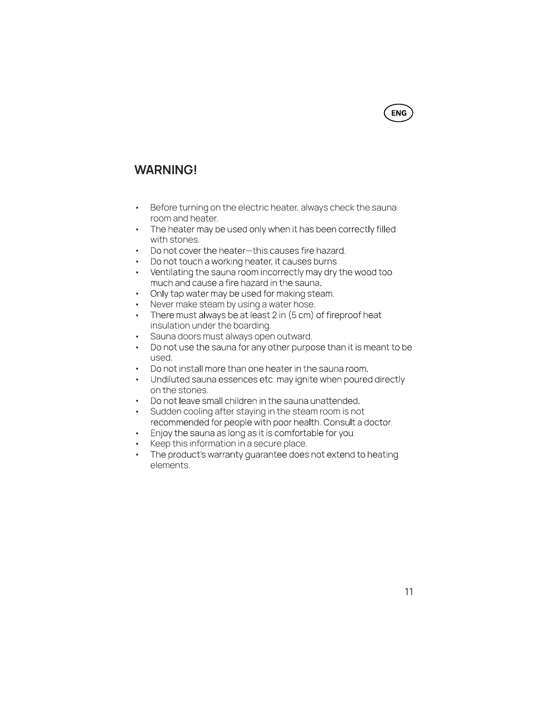# WARNING!

- Before turning on the electric heater, always check the sauna
- 
- 
- 
- room and heater.<br>• The heater may be used only when it has bee<br>with stones.<br>• Do not cover the heater-this causes fire haz<br>• Do not touch a working heater, it causes burn<br>• Ventilating the sauna room incorrectly may d<br>much
- 
- 
- 
- Sauna doors must always open outward.
- 
- 
- Do not use the sauna for any other purpose than it is me<br>used.<br>• Do not install more than one heater in the sauna room.<br>• Undiluted sauna essences etc. may ignite when poured<br>on the stones.<br>• Do not leave small children
- 
- 
- 
- 
- The product's warranty guarantee does not extend to heating<br>elements.

**ENG**